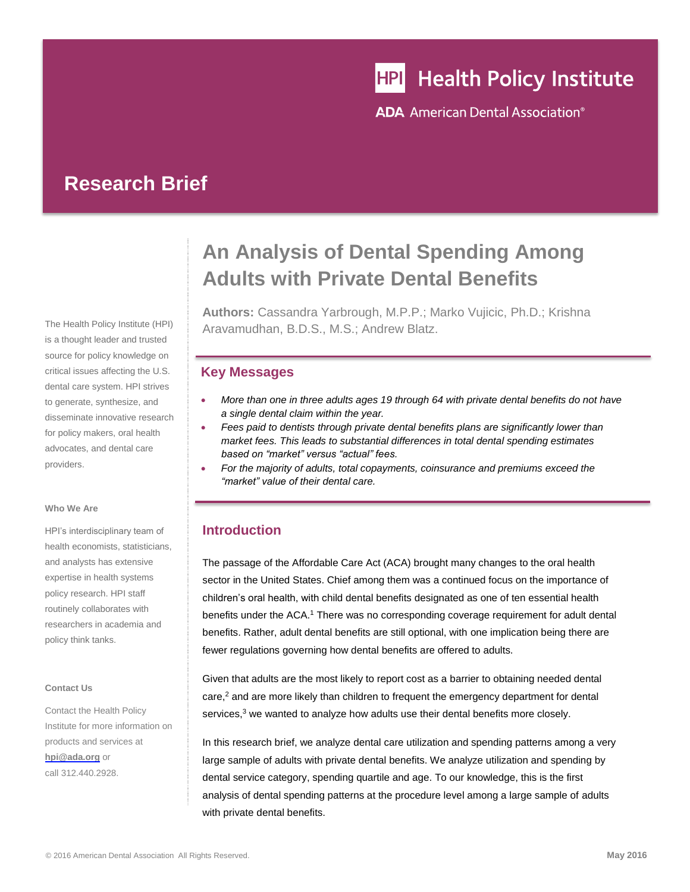# **HPI** Health Policy Institute

**ADA** American Dental Association<sup>®</sup>

## **Research Brief**

The Health Policy Institute (HPI) is a thought leader and trusted source for policy knowledge on critical issues affecting the U.S. dental care system. HPI strives to generate, synthesize, and disseminate innovative research for policy makers, oral health advocates, and dental care providers.

#### **Who We Are**

HPI's interdisciplinary team of health economists, statisticians, and analysts has extensive expertise in health systems policy research. HPI staff routinely collaborates with researchers in academia and policy think tanks.

#### **Contact Us**

Contact the Health Policy Institute for more information on products and services at **[hpi@ada.org](mailto:hpi@ada.org)** or call 312.440.2928.

# **An Analysis of Dental Spending Among Adults with Private Dental Benefits**

**Authors:** Cassandra Yarbrough, M.P.P.; Marko Vujicic, Ph.D.; Krishna Aravamudhan, B.D.S., M.S.; Andrew Blatz.

#### **Key Messages**

- *More than one in three adults ages 19 through 64 with private dental benefits do not have a single dental claim within the year.*
- *Fees paid to dentists through private dental benefits plans are significantly lower than market fees. This leads to substantial differences in total dental spending estimates based on "market" versus "actual" fees.*
- *For the majority of adults, total copayments, coinsurance and premiums exceed the "market" value of their dental care.*

### **Introduction**

The passage of the Affordable Care Act (ACA) brought many changes to the oral health sector in the United States. Chief among them was a continued focus on the importance of children's oral health, with child dental benefits designated as one of ten essential health benefits under the ACA.<sup>1</sup> There was no corresponding coverage requirement for adult dental benefits. Rather, adult dental benefits are still optional, with one implication being there are fewer regulations governing how dental benefits are offered to adults.

Given that adults are the most likely to report cost as a barrier to obtaining needed dental  $care<sub>1</sub><sup>2</sup>$  and are more likely than children to frequent the emergency department for dental services, $3$  we wanted to analyze how adults use their dental benefits more closely.

In this research brief, we analyze dental care utilization and spending patterns among a very large sample of adults with private dental benefits. We analyze utilization and spending by dental service category, spending quartile and age. To our knowledge, this is the first analysis of dental spending patterns at the procedure level among a large sample of adults with private dental benefits.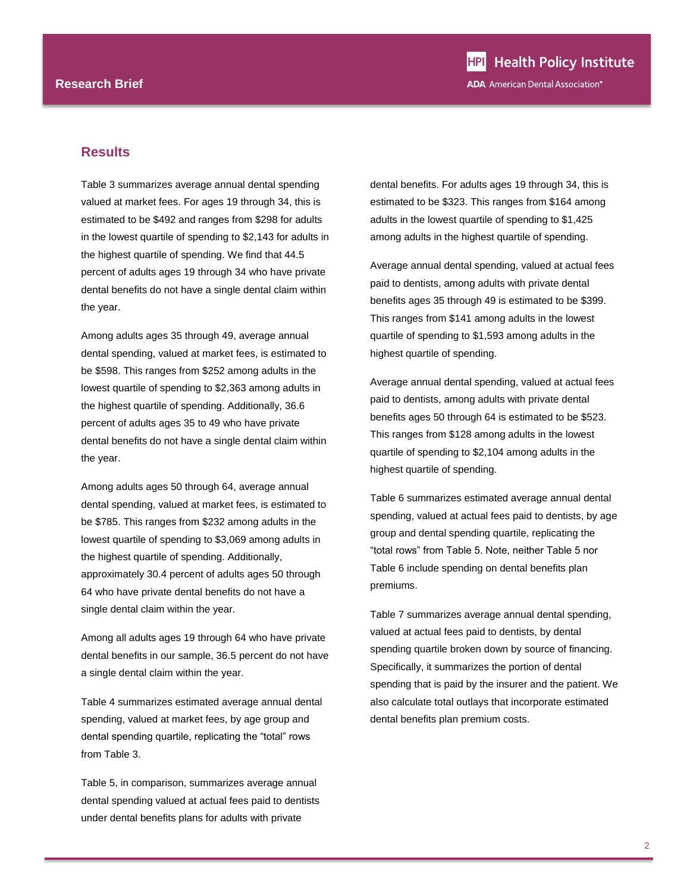#### **Results**

Table 3 summarizes average annual dental spending valued at market fees. For ages 19 through 34, this is estimated to be \$492 and ranges from \$298 for adults in the lowest quartile of spending to \$2,143 for adults in the highest quartile of spending. We find that 44.5 percent of adults ages 19 through 34 who have private dental benefits do not have a single dental claim within the year.

Among adults ages 35 through 49, average annual dental spending, valued at market fees, is estimated to be \$598. This ranges from \$252 among adults in the lowest quartile of spending to \$2,363 among adults in the highest quartile of spending. Additionally, 36.6 percent of adults ages 35 to 49 who have private dental benefits do not have a single dental claim within the year.

Among adults ages 50 through 64, average annual dental spending, valued at market fees, is estimated to be \$785. This ranges from \$232 among adults in the lowest quartile of spending to \$3,069 among adults in the highest quartile of spending. Additionally, approximately 30.4 percent of adults ages 50 through 64 who have private dental benefits do not have a single dental claim within the year.

Among all adults ages 19 through 64 who have private dental benefits in our sample, 36.5 percent do not have a single dental claim within the year.

Table 4 summarizes estimated average annual dental spending, valued at market fees, by age group and dental spending quartile, replicating the "total" rows from Table 3.

Table 5, in comparison, summarizes average annual dental spending valued at actual fees paid to dentists under dental benefits plans for adults with private

dental benefits. For adults ages 19 through 34, this is estimated to be \$323. This ranges from \$164 among adults in the lowest quartile of spending to \$1,425 among adults in the highest quartile of spending.

Average annual dental spending, valued at actual fees paid to dentists, among adults with private dental benefits ages 35 through 49 is estimated to be \$399. This ranges from \$141 among adults in the lowest quartile of spending to \$1,593 among adults in the highest quartile of spending.

Average annual dental spending, valued at actual fees paid to dentists, among adults with private dental benefits ages 50 through 64 is estimated to be \$523. This ranges from \$128 among adults in the lowest quartile of spending to \$2,104 among adults in the highest quartile of spending.

Table 6 summarizes estimated average annual dental spending, valued at actual fees paid to dentists, by age group and dental spending quartile, replicating the "total rows" from Table 5. Note, neither Table 5 nor Table 6 include spending on dental benefits plan premiums.

Table 7 summarizes average annual dental spending, valued at actual fees paid to dentists, by dental spending quartile broken down by source of financing. Specifically, it summarizes the portion of dental spending that is paid by the insurer and the patient. We also calculate total outlays that incorporate estimated dental benefits plan premium costs.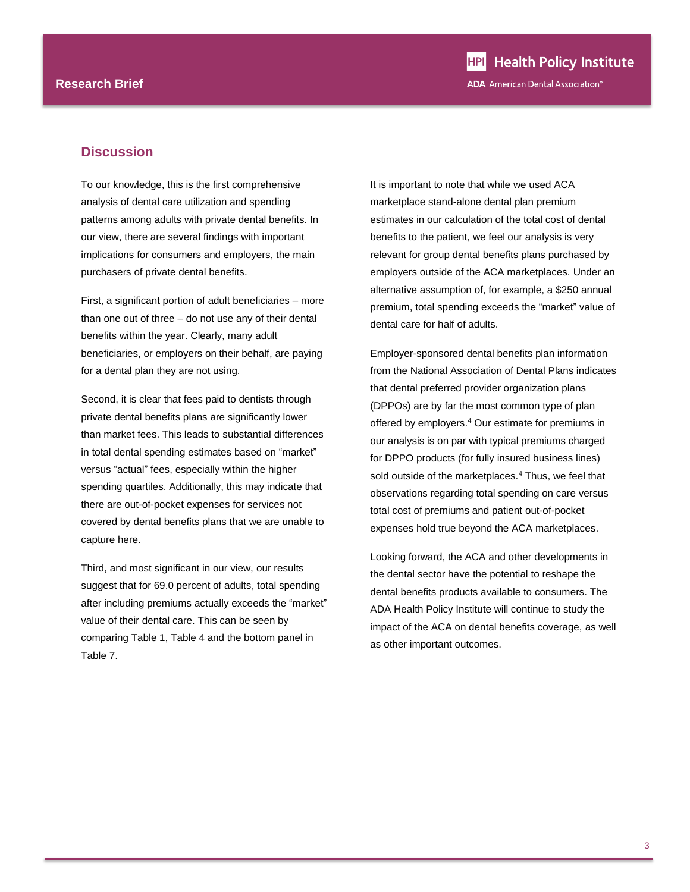#### **Discussion**

To our knowledge, this is the first comprehensive analysis of dental care utilization and spending patterns among adults with private dental benefits. In our view, there are several findings with important implications for consumers and employers, the main purchasers of private dental benefits.

First, a significant portion of adult beneficiaries – more than one out of three – do not use any of their dental benefits within the year. Clearly, many adult beneficiaries, or employers on their behalf, are paying for a dental plan they are not using.

Second, it is clear that fees paid to dentists through private dental benefits plans are significantly lower than market fees. This leads to substantial differences in total dental spending estimates based on "market" versus "actual" fees, especially within the higher spending quartiles. Additionally, this may indicate that there are out-of-pocket expenses for services not covered by dental benefits plans that we are unable to capture here.

Third, and most significant in our view, our results suggest that for 69.0 percent of adults, total spending after including premiums actually exceeds the "market" value of their dental care. This can be seen by comparing Table 1, Table 4 and the bottom panel in Table 7.

It is important to note that while we used ACA marketplace stand-alone dental plan premium estimates in our calculation of the total cost of dental benefits to the patient, we feel our analysis is very relevant for group dental benefits plans purchased by employers outside of the ACA marketplaces. Under an alternative assumption of, for example, a \$250 annual premium, total spending exceeds the "market" value of dental care for half of adults.

<span id="page-2-0"></span>Employer-sponsored dental benefits plan information from the National Association of Dental Plans indicates that dental preferred provider organization plans (DPPOs) are by far the most common type of plan offered by employers.<sup>4</sup> Our estimate for premiums in our analysis is on par with typical premiums charged for DPPO products (for fully insured business lines) sold outside of the marketplaces.<sup>[4](#page-2-0)</sup> Thus, we feel that observations regarding total spending on care versus total cost of premiums and patient out-of-pocket expenses hold true beyond the ACA marketplaces.

Looking forward, the ACA and other developments in the dental sector have the potential to reshape the dental benefits products available to consumers. The ADA Health Policy Institute will continue to study the impact of the ACA on dental benefits coverage, as well as other important outcomes.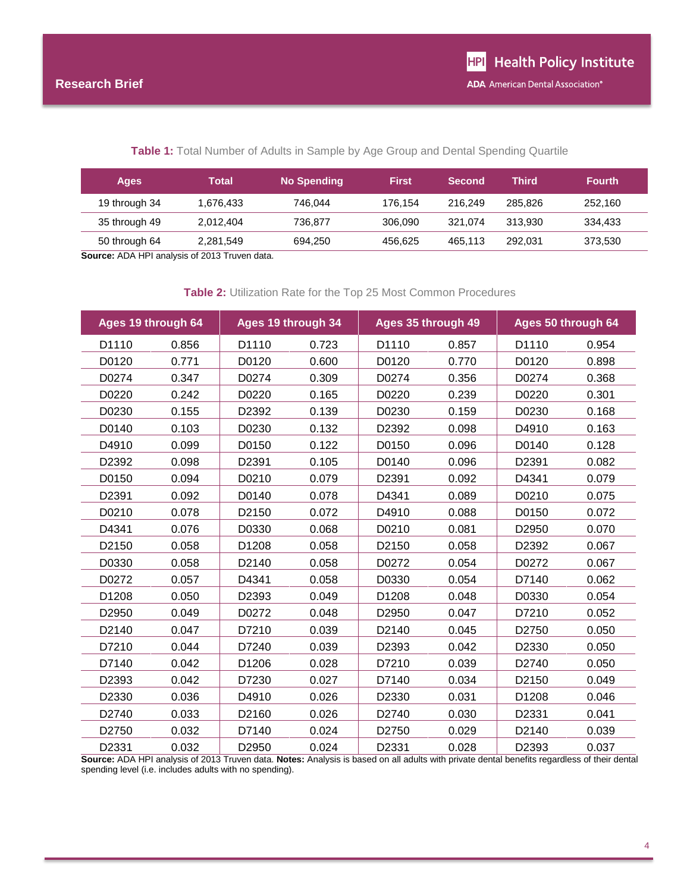#### **Table 1:** Total Number of Adults in Sample by Age Group and Dental Spending Quartile

| Ages          | Total     | <b>No Spending</b> | <b>First</b> | <b>Second</b> | Third   | <b>Fourth</b> |
|---------------|-----------|--------------------|--------------|---------------|---------|---------------|
| 19 through 34 | 1.676.433 | 746.044            | 176.154      | 216.249       | 285.826 | 252.160       |
| 35 through 49 | 2.012.404 | 736.877            | 306.090      | 321.074       | 313.930 | 334.433       |
| 50 through 64 | 2.281.549 | 694,250            | 456.625      | 465.113       | 292.031 | 373,530       |

**Source:** ADA HPI analysis of 2013 Truven data.

#### **Table 2:** Utilization Rate for the Top 25 Most Common Procedures

| Ages 19 through 64 |       |       | Ages 35 through 49<br>Ages 50 through 64<br>Ages 19 through 34 |       |       |       |       |
|--------------------|-------|-------|----------------------------------------------------------------|-------|-------|-------|-------|
| D1110              | 0.856 | D1110 | 0.723                                                          | D1110 | 0.857 | D1110 | 0.954 |
| D0120              | 0.771 | D0120 | 0.600                                                          | D0120 | 0.770 | D0120 | 0.898 |
| D0274              | 0.347 | D0274 | 0.309                                                          | D0274 | 0.356 | D0274 | 0.368 |
| D0220              | 0.242 | D0220 | 0.165                                                          | D0220 | 0.239 | D0220 | 0.301 |
| D0230              | 0.155 | D2392 | 0.139                                                          | D0230 | 0.159 | D0230 | 0.168 |
| D0140              | 0.103 | D0230 | 0.132                                                          | D2392 | 0.098 | D4910 | 0.163 |
| D4910              | 0.099 | D0150 | 0.122                                                          | D0150 | 0.096 | D0140 | 0.128 |
| D2392              | 0.098 | D2391 | 0.105                                                          | D0140 | 0.096 | D2391 | 0.082 |
| D0150              | 0.094 | D0210 | 0.079                                                          | D2391 | 0.092 | D4341 | 0.079 |
| D2391              | 0.092 | D0140 | 0.078                                                          | D4341 | 0.089 | D0210 | 0.075 |
| D0210              | 0.078 | D2150 | 0.072                                                          | D4910 | 0.088 | D0150 | 0.072 |
| D4341              | 0.076 | D0330 | 0.068                                                          | D0210 | 0.081 | D2950 | 0.070 |
| D2150              | 0.058 | D1208 | 0.058                                                          | D2150 | 0.058 | D2392 | 0.067 |
| D0330              | 0.058 | D2140 | 0.058                                                          | D0272 | 0.054 | D0272 | 0.067 |
| D0272              | 0.057 | D4341 | 0.058                                                          | D0330 | 0.054 | D7140 | 0.062 |
| D1208              | 0.050 | D2393 | 0.049                                                          | D1208 | 0.048 | D0330 | 0.054 |
| D2950              | 0.049 | D0272 | 0.048                                                          | D2950 | 0.047 | D7210 | 0.052 |
| D2140              | 0.047 | D7210 | 0.039                                                          | D2140 | 0.045 | D2750 | 0.050 |
| D7210              | 0.044 | D7240 | 0.039                                                          | D2393 | 0.042 | D2330 | 0.050 |
| D7140              | 0.042 | D1206 | 0.028                                                          | D7210 | 0.039 | D2740 | 0.050 |
| D2393              | 0.042 | D7230 | 0.027                                                          | D7140 | 0.034 | D2150 | 0.049 |
| D2330              | 0.036 | D4910 | 0.026                                                          | D2330 | 0.031 | D1208 | 0.046 |
| D2740              | 0.033 | D2160 | 0.026                                                          | D2740 | 0.030 | D2331 | 0.041 |
| D2750              | 0.032 | D7140 | 0.024                                                          | D2750 | 0.029 | D2140 | 0.039 |
| D2331              | 0.032 | D2950 | 0.024                                                          | D2331 | 0.028 | D2393 | 0.037 |

**Source:** ADA HPI analysis of 2013 Truven data. **Notes:** Analysis is based on all adults with private dental benefits regardless of their dental spending level (i.e. includes adults with no spending).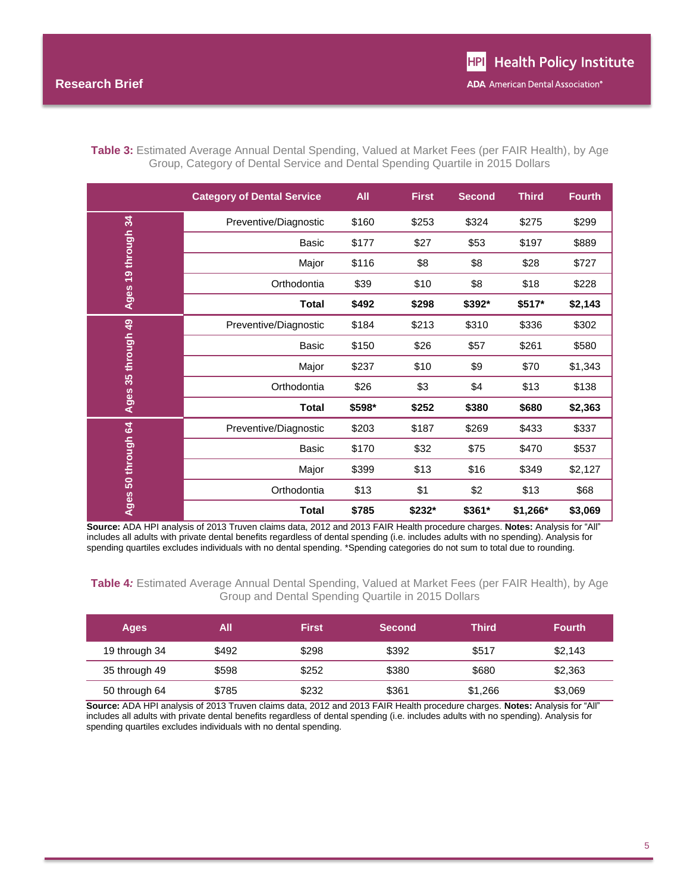| Table 3: Estimated Average Annual Dental Spending, Valued at Market Fees (per FAIR Health), by Age |  |
|----------------------------------------------------------------------------------------------------|--|
| Group, Category of Dental Service and Dental Spending Quartile in 2015 Dollars                     |  |

|                    | <b>Category of Dental Service</b> | All    | <b>First</b> | <b>Second</b> | <b>Third</b> | <b>Fourth</b> |
|--------------------|-----------------------------------|--------|--------------|---------------|--------------|---------------|
| 34                 | Preventive/Diagnostic             | \$160  | \$253        | \$324         | \$275        | \$299         |
|                    | <b>Basic</b>                      | \$177  | \$27         | \$53          | \$197        | \$889         |
|                    | Major                             | \$116  | \$8          | \$8           | \$28         | \$727         |
| Ages 19 through    | Orthodontia                       | \$39   | \$10         | \$8           | \$18         | \$228         |
|                    | Total                             | \$492  | \$298        | \$392*        | \$517*       | \$2,143       |
| Ages 35 through 49 | Preventive/Diagnostic             | \$184  | \$213        | \$310         | \$336        | \$302         |
|                    | <b>Basic</b>                      | \$150  | \$26         | \$57          | \$261        | \$580         |
|                    | Major                             | \$237  | \$10         | \$9           | \$70         | \$1,343       |
|                    | Orthodontia                       | \$26   | \$3          | \$4           | \$13         | \$138         |
|                    | <b>Total</b>                      | \$598* | \$252        | \$380         | \$680        | \$2,363       |
| 50 through 64      | Preventive/Diagnostic             | \$203  | \$187        | \$269         | \$433        | \$337         |
|                    | <b>Basic</b>                      | \$170  | \$32         | \$75          | \$470        | \$537         |
|                    | Major                             | \$399  | \$13         | \$16          | \$349        | \$2,127       |
|                    | Orthodontia                       | \$13   | \$1          | \$2           | \$13         | \$68          |
| Ages               | <b>Total</b>                      | \$785  | \$232*       | \$361*        | \$1,266*     | \$3,069       |

**Source:** ADA HPI analysis of 2013 Truven claims data, 2012 and 2013 FAIR Health procedure charges. **Notes:** Analysis for "All" includes all adults with private dental benefits regardless of dental spending (i.e. includes adults with no spending). Analysis for spending quartiles excludes individuals with no dental spending. \*Spending categories do not sum to total due to rounding.

**Table 4***:* Estimated Average Annual Dental Spending, Valued at Market Fees (per FAIR Health), by Age Group and Dental Spending Quartile in 2015 Dollars

| <b>Ages</b>   | All   | <b>First</b> | <b>Second</b> | Third   | <b>Fourth</b> |
|---------------|-------|--------------|---------------|---------|---------------|
| 19 through 34 | \$492 | \$298        | \$392         | \$517   | \$2,143       |
| 35 through 49 | \$598 | \$252        | \$380         | \$680   | \$2,363       |
| 50 through 64 | \$785 | \$232        | \$361         | \$1,266 | \$3,069       |

**Source:** ADA HPI analysis of 2013 Truven claims data, 2012 and 2013 FAIR Health procedure charges. **Notes:** Analysis for "All" includes all adults with private dental benefits regardless of dental spending (i.e. includes adults with no spending). Analysis for spending quartiles excludes individuals with no dental spending.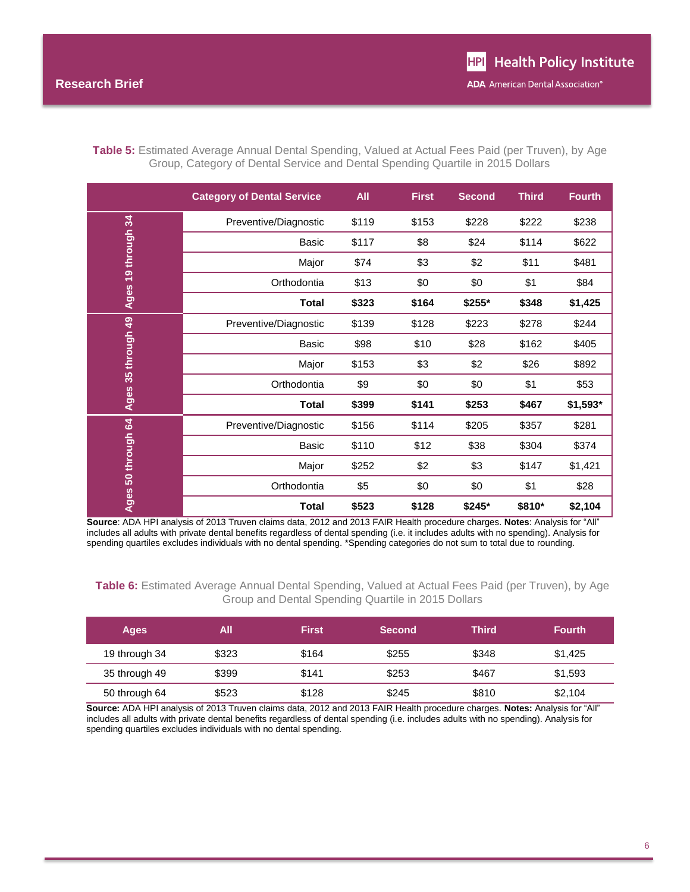|                    | <b>Category of Dental Service</b> | All   | <b>First</b> | <b>Second</b> | <b>Third</b> | <b>Fourth</b> |
|--------------------|-----------------------------------|-------|--------------|---------------|--------------|---------------|
|                    | Preventive/Diagnostic             | \$119 | \$153        | \$228         | \$222        | \$238         |
|                    | <b>Basic</b>                      | \$117 | \$8          | \$24          | \$114        | \$622         |
| 19 through 34      | Major                             | \$74  | \$3          | \$2           | \$11         | \$481         |
|                    | Orthodontia                       | \$13  | \$0          | \$0           | \$1          | \$84          |
| Ages               | <b>Total</b>                      | \$323 | \$164        | \$255*        | \$348        | \$1,425       |
| Ages 35 through 49 | Preventive/Diagnostic             | \$139 | \$128        | \$223         | \$278        | \$244         |
|                    | <b>Basic</b>                      | \$98  | \$10         | \$28          | \$162        | \$405         |
|                    | Major                             | \$153 | \$3          | \$2           | \$26         | \$892         |
|                    | Orthodontia                       | \$9   | \$0          | \$0           | \$1          | \$53          |
|                    | <b>Total</b>                      | \$399 | \$141        | \$253         | \$467        | \$1,593*      |
| 50 through 64      | Preventive/Diagnostic             | \$156 | \$114        | \$205         | \$357        | \$281         |
|                    | Basic                             | \$110 | \$12         | \$38          | \$304        | \$374         |
|                    | Major                             | \$252 | \$2          | \$3           | \$147        | \$1,421       |
|                    | Orthodontia                       | \$5   | \$0          | \$0           | \$1          | \$28          |
| Ages               | <b>Total</b>                      | \$523 | \$128        | \$245*        | \$810*       | \$2,104       |

**Table 5:** Estimated Average Annual Dental Spending, Valued at Actual Fees Paid (per Truven), by Age Group, Category of Dental Service and Dental Spending Quartile in 2015 Dollars

**Source**: ADA HPI analysis of 2013 Truven claims data, 2012 and 2013 FAIR Health procedure charges. **Notes**: Analysis for "All" includes all adults with private dental benefits regardless of dental spending (i.e. it includes adults with no spending). Analysis for spending quartiles excludes individuals with no dental spending. \*Spending categories do not sum to total due to rounding.

**Table 6:** Estimated Average Annual Dental Spending, Valued at Actual Fees Paid (per Truven), by Age Group and Dental Spending Quartile in 2015 Dollars

| Ages          | All   | <b>First</b> | <b>Second</b> | Third | <b>Fourth</b> |
|---------------|-------|--------------|---------------|-------|---------------|
| 19 through 34 | \$323 | \$164        | \$255         | \$348 | \$1,425       |
| 35 through 49 | \$399 | \$141        | \$253         | \$467 | \$1,593       |
| 50 through 64 | \$523 | \$128        | \$245         | \$810 | \$2,104       |

**Source:** ADA HPI analysis of 2013 Truven claims data, 2012 and 2013 FAIR Health procedure charges. **Notes:** Analysis for "All" includes all adults with private dental benefits regardless of dental spending (i.e. includes adults with no spending). Analysis for spending quartiles excludes individuals with no dental spending.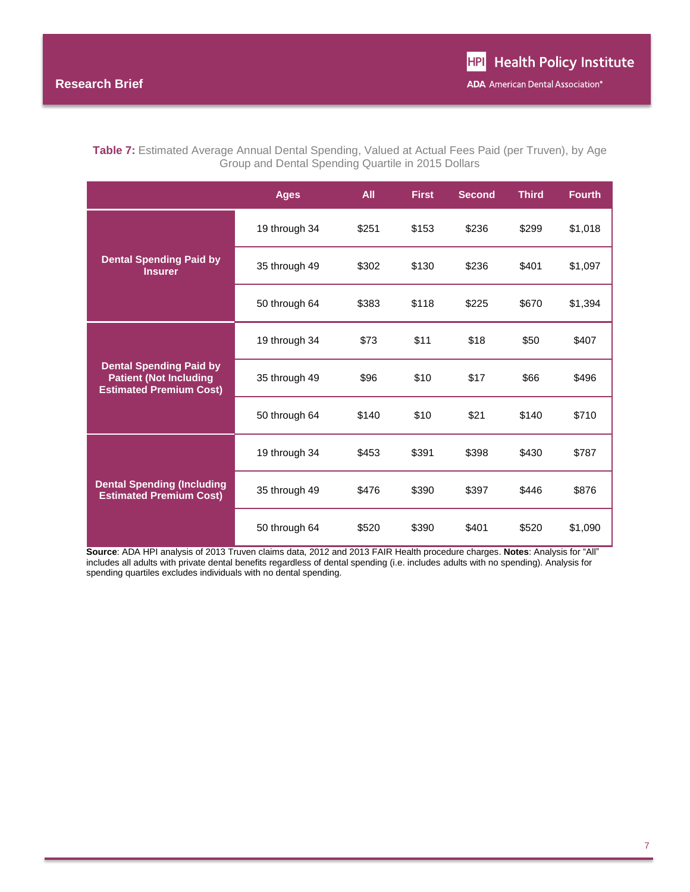| <b>Table 7:</b> Estimated Average Annual Dental Spending, Valued at Actual Fees Paid (per Truven), by Age |                                                    |  |
|-----------------------------------------------------------------------------------------------------------|----------------------------------------------------|--|
|                                                                                                           | Group and Dental Spending Quartile in 2015 Dollars |  |

|                                                                                                   | <b>Ages</b>   | All   | <b>First</b> | <b>Second</b> | <b>Third</b> | <b>Fourth</b> |
|---------------------------------------------------------------------------------------------------|---------------|-------|--------------|---------------|--------------|---------------|
|                                                                                                   | 19 through 34 | \$251 | \$153        | \$236         | \$299        | \$1,018       |
| <b>Dental Spending Paid by</b><br><b>Insurer</b>                                                  | 35 through 49 | \$302 | \$130        | \$236         | \$401        | \$1,097       |
|                                                                                                   | 50 through 64 | \$383 | \$118        | \$225         | \$670        | \$1,394       |
|                                                                                                   | 19 through 34 | \$73  | \$11         | \$18          | \$50         | \$407         |
| <b>Dental Spending Paid by</b><br><b>Patient (Not Including</b><br><b>Estimated Premium Cost)</b> | 35 through 49 | \$96  | \$10         | \$17          | \$66         | \$496         |
|                                                                                                   | 50 through 64 | \$140 | \$10         | \$21          | \$140        | \$710         |
|                                                                                                   | 19 through 34 | \$453 | \$391        | \$398         | \$430        | \$787         |
| <b>Dental Spending (Including</b><br><b>Estimated Premium Cost)</b>                               | 35 through 49 | \$476 | \$390        | \$397         | \$446        | \$876         |
|                                                                                                   | 50 through 64 | \$520 | \$390        | \$401         | \$520        | \$1,090       |

**Source**: ADA HPI analysis of 2013 Truven claims data, 2012 and 2013 FAIR Health procedure charges. **Notes**: Analysis for "All" includes all adults with private dental benefits regardless of dental spending (i.e. includes adults with no spending). Analysis for spending quartiles excludes individuals with no dental spending.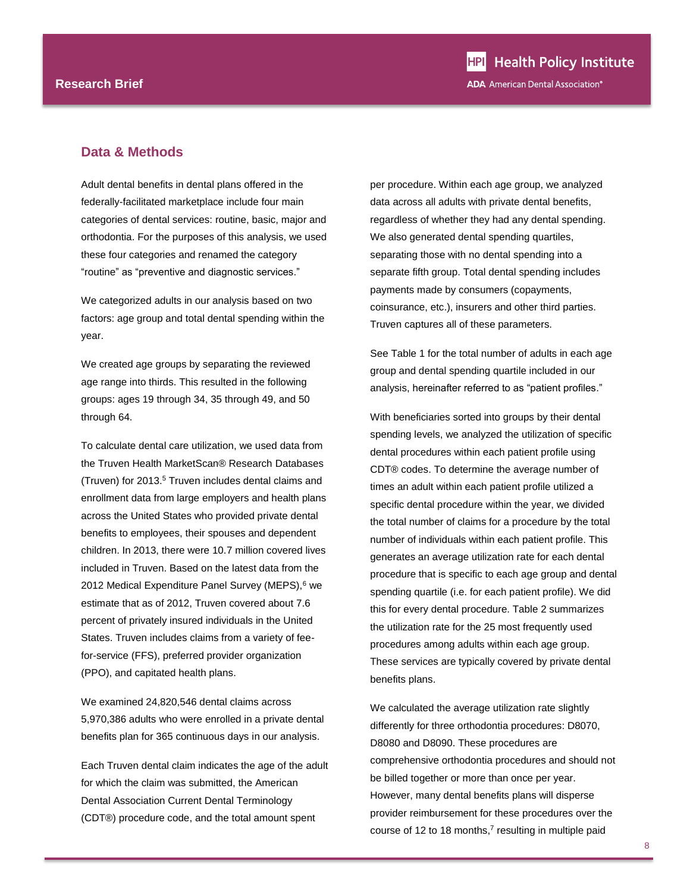#### **Data & Methods**

Adult dental benefits in dental plans offered in the federally-facilitated marketplace include four main categories of dental services: routine, basic, major and orthodontia. For the purposes of this analysis, we used these four categories and renamed the category "routine" as "preventive and diagnostic services."

We categorized adults in our analysis based on two factors: age group and total dental spending within the year.

We created age groups by separating the reviewed age range into thirds. This resulted in the following groups: ages 19 through 34, 35 through 49, and 50 through 64.

To calculate dental care utilization, we used data from the Truven Health MarketScan® Research Databases (Truven) for 2013.<sup>5</sup> Truven includes dental claims and enrollment data from large employers and health plans across the United States who provided private dental benefits to employees, their spouses and dependent children. In 2013, there were 10.7 million covered lives included in Truven. Based on the latest data from the 2012 Medical Expenditure Panel Survey (MEPS),<sup>6</sup> we estimate that as of 2012, Truven covered about 7.6 percent of privately insured individuals in the United States. Truven includes claims from a variety of feefor-service (FFS), preferred provider organization (PPO), and capitated health plans.

We examined 24,820,546 dental claims across 5,970,386 adults who were enrolled in a private dental benefits plan for 365 continuous days in our analysis.

Each Truven dental claim indicates the age of the adult for which the claim was submitted, the American Dental Association Current Dental Terminology (CDT®) procedure code, and the total amount spent

per procedure. Within each age group, we analyzed data across all adults with private dental benefits, regardless of whether they had any dental spending. We also generated dental spending quartiles, separating those with no dental spending into a separate fifth group. Total dental spending includes payments made by consumers (copayments, coinsurance, etc.), insurers and other third parties. Truven captures all of these parameters.

See Table 1 for the total number of adults in each age group and dental spending quartile included in our analysis, hereinafter referred to as "patient profiles."

With beneficiaries sorted into groups by their dental spending levels, we analyzed the utilization of specific dental procedures within each patient profile using CDT® codes. To determine the average number of times an adult within each patient profile utilized a specific dental procedure within the year, we divided the total number of claims for a procedure by the total number of individuals within each patient profile. This generates an average utilization rate for each dental procedure that is specific to each age group and dental spending quartile (i.e. for each patient profile). We did this for every dental procedure. Table 2 summarizes the utilization rate for the 25 most frequently used procedures among adults within each age group. These services are typically covered by private dental benefits plans.

We calculated the average utilization rate slightly differently for three orthodontia procedures: D8070, D8080 and D8090. These procedures are comprehensive orthodontia procedures and should not be billed together or more than once per year. However, many dental benefits plans will disperse provider reimbursement for these procedures over the course of 12 to 18 months, $<sup>7</sup>$  resulting in multiple paid</sup>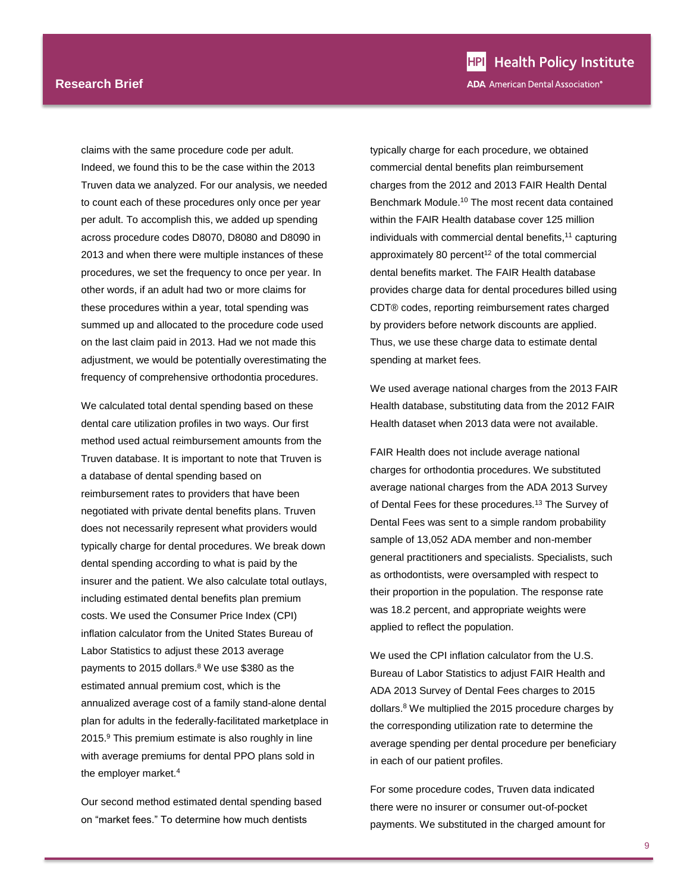claims with the same procedure code per adult. Indeed, we found this to be the case within the 2013 Truven data we analyzed. For our analysis, we needed to count each of these procedures only once per year per adult. To accomplish this, we added up spending across procedure codes D8070, D8080 and D8090 in 2013 and when there were multiple instances of these procedures, we set the frequency to once per year. In other words, if an adult had two or more claims for these procedures within a year, total spending was summed up and allocated to the procedure code used on the last claim paid in 2013. Had we not made this adjustment, we would be potentially overestimating the frequency of comprehensive orthodontia procedures.

We calculated total dental spending based on these dental care utilization profiles in two ways. Our first method used actual reimbursement amounts from the Truven database. It is important to note that Truven is a database of dental spending based on reimbursement rates to providers that have been negotiated with private dental benefits plans. Truven does not necessarily represent what providers would typically charge for dental procedures. We break down dental spending according to what is paid by the insurer and the patient. We also calculate total outlays, including estimated dental benefits plan premium costs. We used the Consumer Price Index (CPI) inflation calculator from the United States Bureau of Labor Statistics to adjust these 2013 average payments to 2015 dollars.<sup>8</sup> We use \$380 as the estimated annual premium cost, which is the annualized average cost of a family stand-alone dental plan for adults in the federally-facilitated marketplace in 2015.<sup>9</sup> This premium estimate is also roughly in line with average premiums for dental PPO plans sold in the employer marke[t.](#page-2-0)<sup>4</sup>

<span id="page-8-0"></span>Our second method estimated dental spending based on "market fees." To determine how much dentists

typically charge for each procedure, we obtained commercial dental benefits plan reimbursement charges from the 2012 and 2013 FAIR Health Dental Benchmark Module.<sup>10</sup> The most recent data contained within the FAIR Health database cover 125 million individuals with commercial dental benefits,<sup>11</sup> capturing approximately 80 percent $12$  of the total commercial dental benefits market. The FAIR Health database provides charge data for dental procedures billed using CDT® codes, reporting reimbursement rates charged by providers before network discounts are applied. Thus, we use these charge data to estimate dental spending at market fees.

We used average national charges from the 2013 FAIR Health database, substituting data from the 2012 FAIR Health dataset when 2013 data were not available.

FAIR Health does not include average national charges for orthodontia procedures. We substituted average national charges from the ADA 2013 Survey of Dental Fees for these procedures.<sup>13</sup> The Survey of Dental Fees was sent to a simple random probability sample of 13,052 ADA member and non-member general practitioners and specialists. Specialists, such as orthodontists, were oversampled with respect to their proportion in the population. The response rate was 18.2 percent, and appropriate weights were applied to reflect the population.

We used the CPI inflation calculator from the U.S. Bureau of Labor Statistics to adjust FAIR Health and ADA 2013 Survey of Dental Fees charges to 2015 dollar[s.](#page-8-0)<sup>8</sup> We multiplied the 2015 procedure charges by the corresponding utilization rate to determine the average spending per dental procedure per beneficiary in each of our patient profiles.

For some procedure codes, Truven data indicated there were no insurer or consumer out-of-pocket payments. We substituted in the charged amount for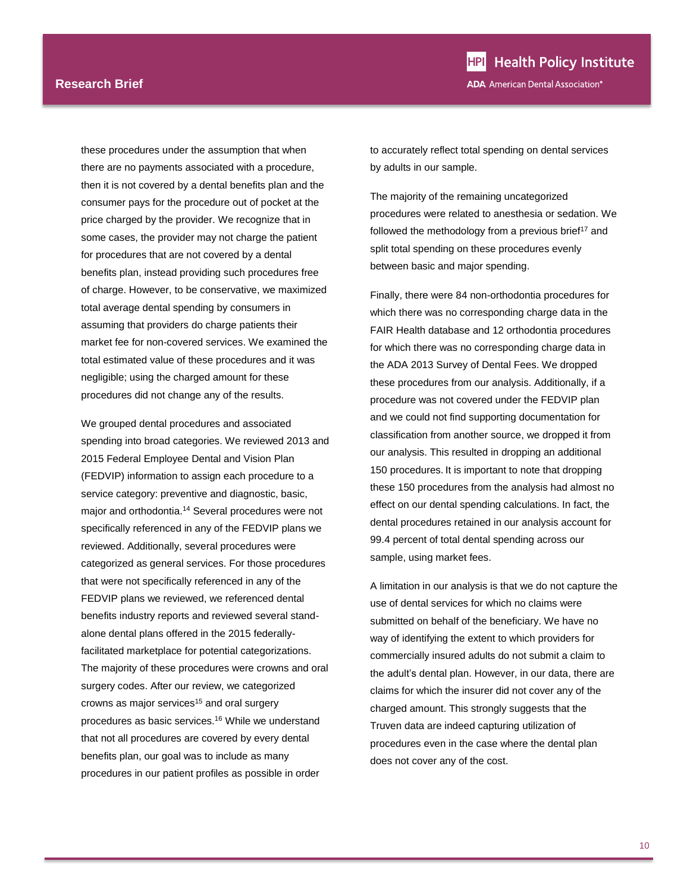#### **Research Brief**

these procedures under the assumption that when there are no payments associated with a procedure, then it is not covered by a dental benefits plan and the consumer pays for the procedure out of pocket at the price charged by the provider. We recognize that in some cases, the provider may not charge the patient for procedures that are not covered by a dental benefits plan, instead providing such procedures free of charge. However, to be conservative, we maximized total average dental spending by consumers in assuming that providers do charge patients their market fee for non-covered services. We examined the total estimated value of these procedures and it was negligible; using the charged amount for these procedures did not change any of the results.

We grouped dental procedures and associated spending into broad categories. We reviewed 2013 and 2015 Federal Employee Dental and Vision Plan (FEDVIP) information to assign each procedure to a service category: preventive and diagnostic, basic, major and orthodontia.<sup>14</sup> Several procedures were not specifically referenced in any of the FEDVIP plans we reviewed. Additionally, several procedures were categorized as general services. For those procedures that were not specifically referenced in any of the FEDVIP plans we reviewed, we referenced dental benefits industry reports and reviewed several standalone dental plans offered in the 2015 federallyfacilitated marketplace for potential categorizations. The majority of these procedures were crowns and oral surgery codes. After our review, we categorized crowns as major services<sup>15</sup> and oral surgery procedures as basic services.<sup>16</sup> While we understand that not all procedures are covered by every dental benefits plan, our goal was to include as many procedures in our patient profiles as possible in order

**HPI** Health Policy Institute **ADA** American Dental Association®

to accurately reflect total spending on dental services by adults in our sample.

The majority of the remaining uncategorized procedures were related to anesthesia or sedation. We followed the methodology from a previous brief<sup>17</sup> and split total spending on these procedures evenly between basic and major spending.

Finally, there were 84 non-orthodontia procedures for which there was no corresponding charge data in the FAIR Health database and 12 orthodontia procedures for which there was no corresponding charge data in the ADA 2013 Survey of Dental Fees. We dropped these procedures from our analysis. Additionally, if a procedure was not covered under the FEDVIP plan and we could not find supporting documentation for classification from another source, we dropped it from our analysis. This resulted in dropping an additional 150 procedures. It is important to note that dropping these 150 procedures from the analysis had almost no effect on our dental spending calculations. In fact, the dental procedures retained in our analysis account for 99.4 percent of total dental spending across our sample, using market fees.

A limitation in our analysis is that we do not capture the use of dental services for which no claims were submitted on behalf of the beneficiary. We have no way of identifying the extent to which providers for commercially insured adults do not submit a claim to the adult's dental plan. However, in our data, there are claims for which the insurer did not cover any of the charged amount. This strongly suggests that the Truven data are indeed capturing utilization of procedures even in the case where the dental plan does not cover any of the cost.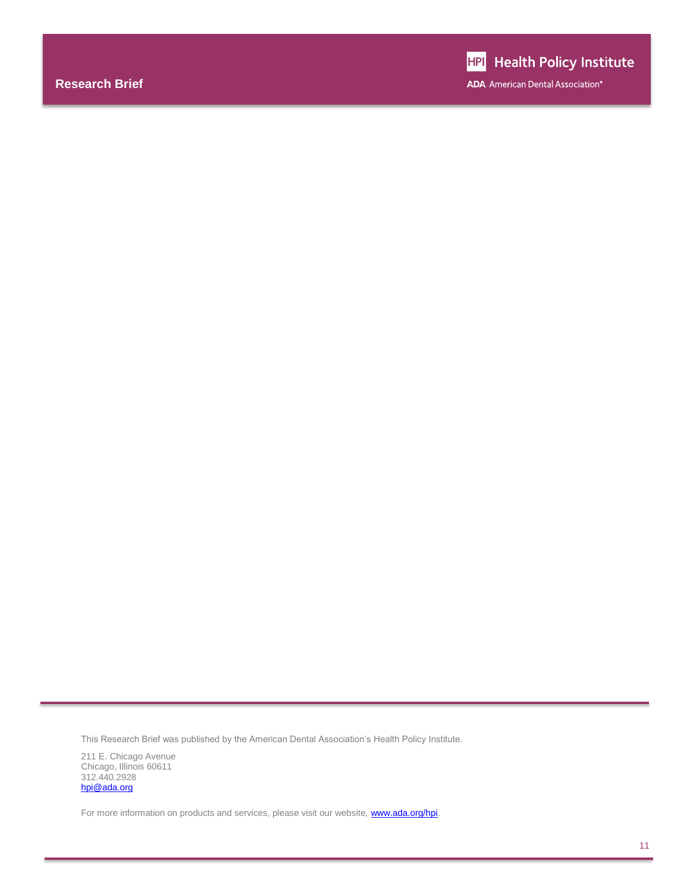**ADA** American Dental Association®

This Research Brief was published by the American Dental Association's Health Policy Institute.

211 E. Chicago Avenue Chicago, Illinois 60611 312.440.2928 [hpi@ada.org](mailto:hpi@ada.org)

For more information on products and services, please visit our website, **www.ada.org/hpi**.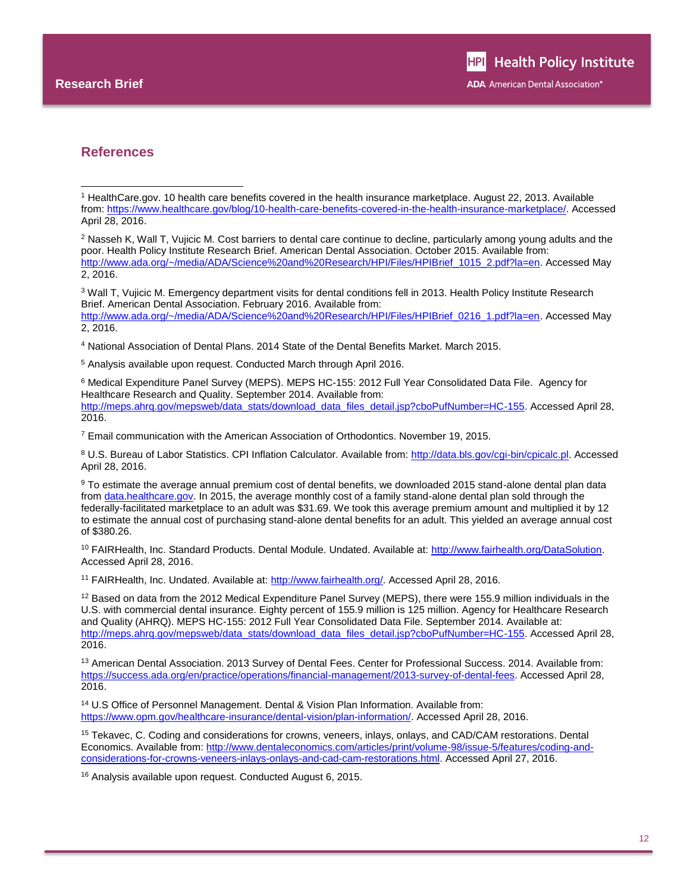l

#### **References**

<sup>3</sup> Wall T, Vujicic M. Emergency department visits for dental conditions fell in 2013. Health Policy Institute Research Brief. American Dental Association. February 2016. Available from: [http://www.ada.org/~/media/ADA/Science%20and%20Research/HPI/Files/HPIBrief\\_0216\\_1.pdf?la=en.](http://www.ada.org/~/media/ADA/Science%20and%20Research/HPI/Files/HPIBrief_0216_1.pdf?la=en) Accessed Mav 2, 2016.

<sup>4</sup> National Association of Dental Plans. 2014 State of the Dental Benefits Market. March 2015.

<sup>5</sup> Analysis available upon request. Conducted March through April 2016.

<sup>6</sup> Medical Expenditure Panel Survey (MEPS). MEPS HC-155: 2012 Full Year Consolidated Data File. Agency for Healthcare Research and Quality. September 2014. Available from: [http://meps.ahrq.gov/mepsweb/data\\_stats/download\\_data\\_files\\_detail.jsp?cboPufNumber=HC-155.](http://meps.ahrq.gov/mepsweb/data_stats/download_data_files_detail.jsp?cboPufNumber=HC-155) Accessed April 28, 2016.

<sup>7</sup> Email communication with the American Association of Orthodontics. November 19, 2015.

<sup>8</sup> U.S. Bureau of Labor Statistics. CPI Inflation Calculator. Available from: [http://data.bls.gov/cgi-bin/cpicalc.pl.](http://data.bls.gov/cgi-bin/cpicalc.pl) Accessed April 28, 2016.

9 To estimate the average annual premium cost of dental benefits, we downloaded 2015 stand-alone dental plan data fro[m data.healthcare.gov.](file://chiuserb/shr_data/Survey/hprc/Research%20Briefs/Working%20Drafts/data.healthcare.gov) In 2015, the average monthly cost of a family stand-alone dental plan sold through the federally-facilitated marketplace to an adult was \$31.69. We took this average premium amount and multiplied it by 12 to estimate the annual cost of purchasing stand-alone dental benefits for an adult. This yielded an average annual cost of \$380.26.

<sup>10</sup> FAIRHealth, Inc. Standard Products. Dental Module. Undated. Available at: [http://www.fairhealth.org/DataSolution.](http://www.fairhealth.org/DataSolution) Accessed April 28, 2016.

<sup>11</sup> FAIRHealth, Inc. Undated. Available at: [http://www.fairhealth.org/.](http://www.fairhealth.org/) Accessed April 28, 2016.

<sup>12</sup> Based on data from the 2012 Medical Expenditure Panel Survey (MEPS), there were 155.9 million individuals in the U.S. with commercial dental insurance. Eighty percent of 155.9 million is 125 million. Agency for Healthcare Research and Quality (AHRQ). MEPS HC-155: 2012 Full Year Consolidated Data File. September 2014. Available at: [http://meps.ahrq.gov/mepsweb/data\\_stats/download\\_data\\_files\\_detail.jsp?cboPufNumber=HC-155.](http://meps.ahrq.gov/mepsweb/data_stats/download_data_files_detail.jsp?cboPufNumber=HC-155) Accessed April 28, 2016.

<sup>13</sup> American Dental Association. 2013 Survey of Dental Fees. Center for Professional Success. 2014. Available from: [https://success.ada.org/en/practice/operations/financial-management/2013-survey-of-dental-fees.](https://success.ada.org/en/practice/operations/financial-management/2013-survey-of-dental-fees) Accessed April 28, 2016.

<sup>14</sup> U.S Office of Personnel Management. Dental & Vision Plan Information. Available from: [https://www.opm.gov/healthcare-insurance/dental-vision/plan-information/.](https://www.opm.gov/healthcare-insurance/dental-vision/plan-information/) Accessed April 28, 2016.

<sup>15</sup> Tekavec, C. Coding and considerations for crowns, veneers, inlays, onlays, and CAD/CAM restorations. Dental Economics. Available from: [http://www.dentaleconomics.com/articles/print/volume-98/issue-5/features/coding-and](http://www.dentaleconomics.com/articles/print/volume-98/issue-5/features/coding-and-considerations-for-crowns-veneers-inlays-onlays-and-cad-cam-restorations.html)[considerations-for-crowns-veneers-inlays-onlays-and-cad-cam-restorations.html.](http://www.dentaleconomics.com/articles/print/volume-98/issue-5/features/coding-and-considerations-for-crowns-veneers-inlays-onlays-and-cad-cam-restorations.html) Accessed April 27, 2016.

<sup>16</sup> Analysis available upon request. Conducted August 6, 2015.

<sup>1</sup> HealthCare.gov. 10 health care benefits covered in the health insurance marketplace. August 22, 2013. Available from: [https://www.healthcare.gov/blog/10-health-care-benefits-covered-in-the-health-insurance-marketplace/.](https://www.healthcare.gov/blog/10-health-care-benefits-covered-in-the-health-insurance-marketplace/) Accessed April 28, 2016.

<sup>&</sup>lt;sup>2</sup> Nasseh K, Wall T, Vujicic M. Cost barriers to dental care continue to decline, particularly among young adults and the poor. Health Policy Institute Research Brief. American Dental Association. October 2015. Available from: [http://www.ada.org/~/media/ADA/Science%20and%20Research/HPI/Files/HPIBrief\\_1015\\_2.pdf?la=en.](http://www.ada.org/~/media/ADA/Science%20and%20Research/HPI/Files/HPIBrief_1015_2.pdf?la=en) Accessed May 2, 2016.